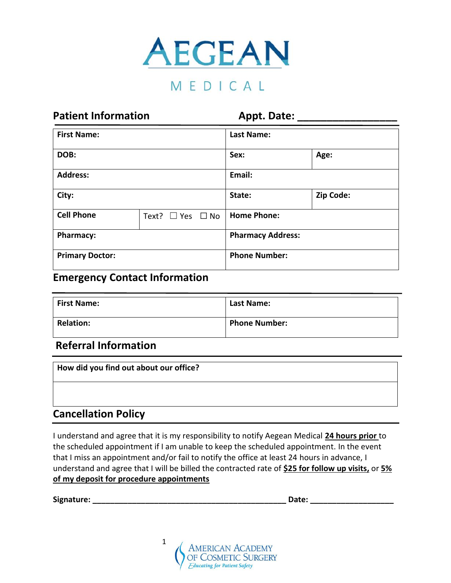

# MEDICAL

| <b>Patient Information</b> |                            |                          | <b>Appt. Date:</b> |  |  |
|----------------------------|----------------------------|--------------------------|--------------------|--|--|
| <b>First Name:</b>         |                            | <b>Last Name:</b>        |                    |  |  |
| DOB:                       |                            |                          | Sex:<br>Age:       |  |  |
| <b>Address:</b>            |                            | Email:                   |                    |  |  |
| City:                      |                            | State:                   | Zip Code:          |  |  |
| <b>Cell Phone</b>          | Text? $\Box$ Yes $\Box$ No |                          | <b>Home Phone:</b> |  |  |
| <b>Pharmacy:</b>           |                            | <b>Pharmacy Address:</b> |                    |  |  |
| <b>Primary Doctor:</b>     |                            | <b>Phone Number:</b>     |                    |  |  |

#### **Emergency Contact Information**

| <b>First Name:</b> | Last Name:           |
|--------------------|----------------------|
| <b>Relation:</b>   | <b>Phone Number:</b> |

### **Referral Information**

| How did you find out about our office? |  |
|----------------------------------------|--|
|                                        |  |

### **Cancellation Policy**

I understand and agree that it is my responsibility to notify Aegean Medical **24 hours prior** to the scheduled appointment if I am unable to keep the scheduled appointment. In the event that I miss an appointment and/or fail to notify the office at least 24 hours in advance, I understand and agree that I will be billed the contracted rate of **\$25 for follow up visits,** or **5% of my deposit for procedure appointments**

**Signature: \_\_\_\_\_\_\_\_\_\_\_\_\_\_\_\_\_\_\_\_\_\_\_\_\_\_\_\_\_\_\_\_\_\_\_\_\_\_\_\_\_\_\_\_ Date: \_\_\_\_\_\_\_\_\_\_\_\_\_\_\_\_\_\_\_**

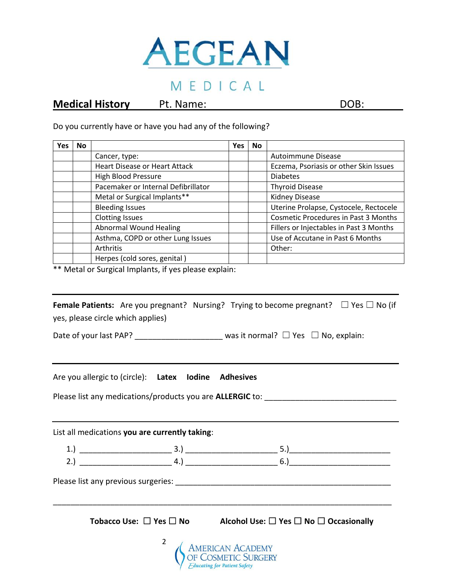

### MEDICAL

#### **Medical History** Pt. Name: DOB: DOB:

Do you currently have or have you had any of the following?

| <b>Yes</b> | No |                                      | <b>Yes</b> | <b>No</b> |                                             |
|------------|----|--------------------------------------|------------|-----------|---------------------------------------------|
|            |    | Cancer, type:                        |            |           | Autoimmune Disease                          |
|            |    | <b>Heart Disease or Heart Attack</b> |            |           | Eczema, Psoriasis or other Skin Issues      |
|            |    | <b>High Blood Pressure</b>           |            |           | <b>Diabetes</b>                             |
|            |    | Pacemaker or Internal Defibrillator  |            |           | <b>Thyroid Disease</b>                      |
|            |    | Metal or Surgical Implants**         |            |           | Kidney Disease                              |
|            |    | <b>Bleeding Issues</b>               |            |           | Uterine Prolapse, Cystocele, Rectocele      |
|            |    | <b>Clotting Issues</b>               |            |           | <b>Cosmetic Procedures in Past 3 Months</b> |
|            |    | <b>Abnormal Wound Healing</b>        |            |           | Fillers or Injectables in Past 3 Months     |
|            |    | Asthma, COPD or other Lung Issues    |            |           | Use of Accutane in Past 6 Months            |
|            |    | Arthritis                            |            |           | Other:                                      |
|            |    | Herpes (cold sores, genital)         |            |           |                                             |

\*\* Metal or Surgical Implants, if yes please explain:

|                                   |  | <b>Female Patients:</b> Are you pregnant? Nursing? Trying to become pregnant? $\Box$ Yes $\Box$ No (if |  |
|-----------------------------------|--|--------------------------------------------------------------------------------------------------------|--|
| yes, please circle which applies) |  |                                                                                                        |  |

Date of your last PAP? \_\_\_\_\_\_\_\_\_\_\_\_\_\_\_\_\_\_\_\_ was it normal? ☐ Yes ☐ No, explain:

Are you allergic to (circle): **Latex Iodine Adhesives**

Please list any medications/products you are **ALLERGIC** to: \_\_\_\_\_\_\_\_\_\_\_\_\_\_\_\_\_\_\_\_\_\_\_\_\_\_\_\_\_\_

List all medications **you are currently taking**:

 $1.) \begin{tabular}{|l|l|} \hline -& & \multicolumn{3}{|l|}{2.5mm} \hline \end{tabular}$ 2.) \_\_\_\_\_\_\_\_\_\_\_\_\_\_\_\_\_\_\_\_\_ 4.) \_\_\_\_\_\_\_\_\_\_\_\_\_\_\_\_\_\_\_\_\_ 6.)\_\_\_\_\_\_\_\_\_\_\_\_\_\_\_\_\_\_\_\_\_\_\_

Please list any previous surgeries: \_\_\_\_\_\_\_\_\_\_\_\_\_\_\_\_\_\_\_\_\_\_\_\_\_\_\_\_\_\_\_\_\_\_\_\_\_\_\_\_\_\_\_\_\_\_\_\_\_

**Tobacco Use:** ☐ **Yes** ☐ **No Alcohol Use:** ☐ **Yes** ☐ **No** ☐ **Occasionally**

\_\_\_\_\_\_\_\_\_\_\_\_\_\_\_\_\_\_\_\_\_\_\_\_\_\_\_\_\_\_\_\_\_\_\_\_\_\_\_\_\_\_\_\_\_\_\_\_\_\_\_\_\_\_\_\_\_\_\_\_\_\_\_\_\_\_\_\_\_\_\_\_\_\_\_\_\_

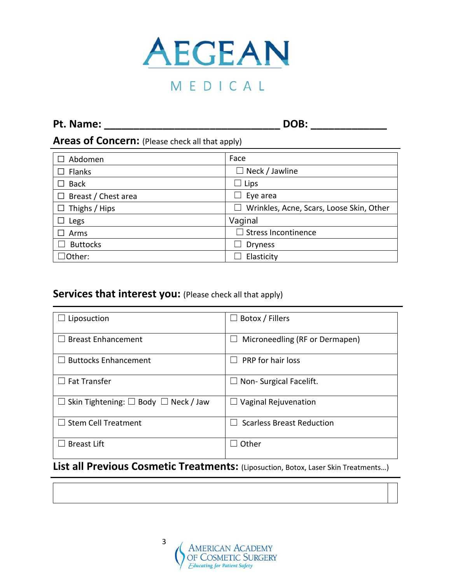

### **Pt. Name: \_\_\_\_\_\_\_\_\_\_\_\_\_\_\_\_\_\_\_\_\_\_\_\_\_\_\_\_\_\_ DOB: \_\_\_\_\_\_\_\_\_\_\_\_\_**

### **Areas of Concern:** (Please check all that apply)

| Abdomen              | Face                                          |
|----------------------|-----------------------------------------------|
| Flanks               | $\Box$ Neck / Jawline                         |
| <b>Back</b>          | $\Box$ Lips                                   |
| Breast / Chest area  | Eye area<br>$\mathbf{I}$                      |
| $\Box$ Thighs / Hips | Wrinkles, Acne, Scars, Loose Skin, Other<br>H |
| Legs                 | Vaginal                                       |
| Arms                 | $\Box$ Stress Incontinence                    |
| <b>Buttocks</b>      | <b>Dryness</b>                                |
| $\Box$ Other:        | Elasticity                                    |

### **Services that interest you:** (Please check all that apply)

| Liposuction                                    | Botox / Fillers<br>$\overline{\phantom{0}}$ |
|------------------------------------------------|---------------------------------------------|
| <b>Breast Enhancement</b>                      | Microneedling (RF or Dermapen)<br>$\Box$    |
| <b>Buttocks Enhancement</b>                    | PRP for hair loss                           |
| <b>Fat Transfer</b>                            | Non-Surgical Facelift.<br>$\Box$            |
| Skin Tightening: $\Box$ Body $\Box$ Neck / Jaw | $\Box$ Vaginal Rejuvenation                 |
| <b>Stem Cell Treatment</b>                     | <b>Scarless Breast Reduction</b>            |
| <b>Breast Lift</b>                             | Other                                       |

### **List all Previous Cosmetic Treatments:** (Liposuction, Botox, Laser Skin Treatments…)